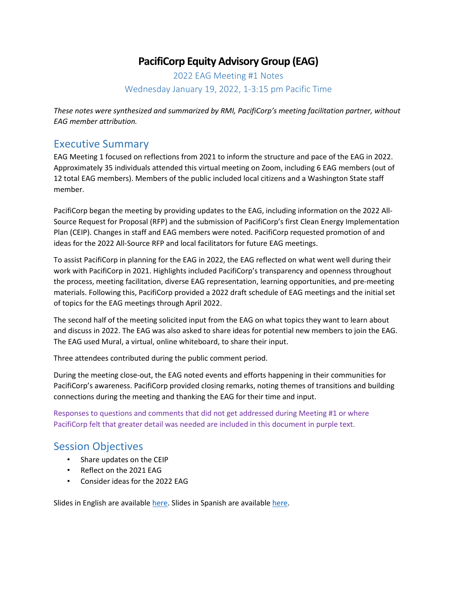## **PacifiCorp Equity Advisory Group (EAG)**

2022 EAG Meeting #1 Notes Wednesday January 19, 2022, 1-3:15 pm Pacific Time

*These notes were synthesized and summarized by RMI, PacifiCorp's meeting facilitation partner, without EAG member attribution.* 

#### Executive Summary

EAG Meeting 1 focused on reflections from 2021 to inform the structure and pace of the EAG in 2022. Approximately 35 individuals attended this virtual meeting on Zoom, including 6 EAG members (out of 12 total EAG members). Members of the public included local citizens and a Washington State staff member.

PacifiCorp began the meeting by providing updates to the EAG, including information on the 2022 All-Source Request for Proposal (RFP) and the submission of PacifiCorp's first Clean Energy Implementation Plan (CEIP). Changes in staff and EAG members were noted. PacifiCorp requested promotion of and ideas for the 2022 All-Source RFP and local facilitators for future EAG meetings.

To assist PacifiCorp in planning for the EAG in 2022, the EAG reflected on what went well during their work with PacifiCorp in 2021. Highlights included PacifiCorp's transparency and openness throughout the process, meeting facilitation, diverse EAG representation, learning opportunities, and pre-meeting materials. Following this, PacifiCorp provided a 2022 draft schedule of EAG meetings and the initial set of topics for the EAG meetings through April 2022.

The second half of the meeting solicited input from the EAG on what topics they want to learn about and discuss in 2022. The EAG was also asked to share ideas for potential new members to join the EAG. The EAG used Mural, a virtual, online whiteboard, to share their input.

Three attendees contributed during the public comment period.

During the meeting close-out, the EAG noted events and efforts happening in their communities for PacifiCorp's awareness. PacifiCorp provided closing remarks, noting themes of transitions and building connections during the meeting and thanking the EAG for their time and input.

Responses to questions and comments that did not get addressed during Meeting #1 or where PacifiCorp felt that greater detail was needed are included in this document in purple text.

### Session Objectives

- Share updates on the CEIP
- Reflect on the 2021 EAG
- Consider ideas for the 2022 EAG

Slides in English are available [here.](https://www.pacificorp.com/content/dam/pcorp/documents/en/pacificorp/energy/ceip/2022_EAG_Meeting_1_Slides.pdf) Slides in Spanish are available [here.](https://www.pacificorp.com/content/dam/pcorp/documents/es/pacificorp/energy/ceip/2022_EAG_Meeting_1_Slides_ES.pdf)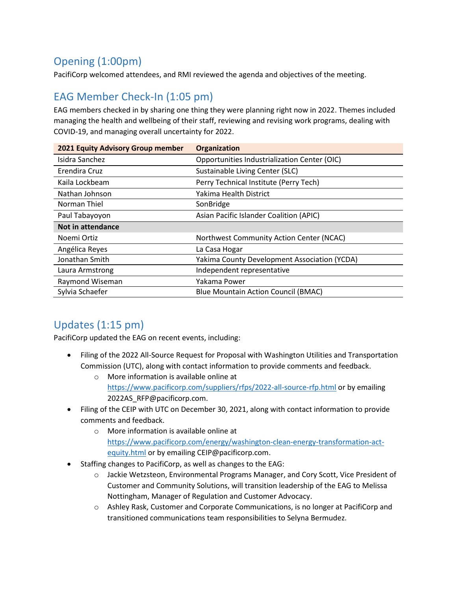# Opening (1:00pm)

PacifiCorp welcomed attendees, and RMI reviewed the agenda and objectives of the meeting.

### EAG Member Check-In (1:05 pm)

EAG members checked in by sharing one thing they were planning right now in 2022. Themes included managing the health and wellbeing of their staff, reviewing and revising work programs, dealing with COVID-19, and managing overall uncertainty for 2022.

| 2021 Equity Advisory Group member | <b>Organization</b>                          |
|-----------------------------------|----------------------------------------------|
| Isidra Sanchez                    | Opportunities Industrialization Center (OIC) |
| Erendira Cruz                     | Sustainable Living Center (SLC)              |
| Kaila Lockbeam                    | Perry Technical Institute (Perry Tech)       |
| Nathan Johnson                    | Yakima Health District                       |
| Norman Thiel                      | SonBridge                                    |
| Paul Tabayoyon                    | Asian Pacific Islander Coalition (APIC)      |
| Not in attendance                 |                                              |
| Noemi Ortiz                       | Northwest Community Action Center (NCAC)     |
| Angélica Reyes                    | La Casa Hogar                                |
| Jonathan Smith                    | Yakima County Development Association (YCDA) |
| Laura Armstrong                   | Independent representative                   |
| Raymond Wiseman                   | Yakama Power                                 |
| Sylvia Schaefer                   | <b>Blue Mountain Action Council (BMAC)</b>   |

## Updates (1:15 pm)

PacifiCorp updated the EAG on recent events, including:

- Filing of the 2022 All-Source Request for Proposal with Washington Utilities and Transportation Commission (UTC), along with contact information to provide comments and feedback.
	- o More information is available online at <https://www.pacificorp.com/suppliers/rfps/2022-all-source-rfp.html> or by emailing 2022AS\_RFP@pacificorp.com.
- Filing of the CEIP with UTC on December 30, 2021, along with contact information to provide comments and feedback.
	- o More information is available online at [https://www.pacificorp.com/energy/washington-clean-energy-transformation-act](https://www.pacificorp.com/energy/washington-clean-energy-transformation-act-equity.html)[equity.html](https://www.pacificorp.com/energy/washington-clean-energy-transformation-act-equity.html) or by emailing CEIP@pacificorp.com.
- Staffing changes to PacifiCorp, as well as changes to the EAG:
	- o Jackie Wetzsteon, Environmental Programs Manager, and Cory Scott, Vice President of Customer and Community Solutions, will transition leadership of the EAG to Melissa Nottingham, Manager of Regulation and Customer Advocacy.
	- o Ashley Rask, Customer and Corporate Communications, is no longer at PacifiCorp and transitioned communications team responsibilities to Selyna Bermudez.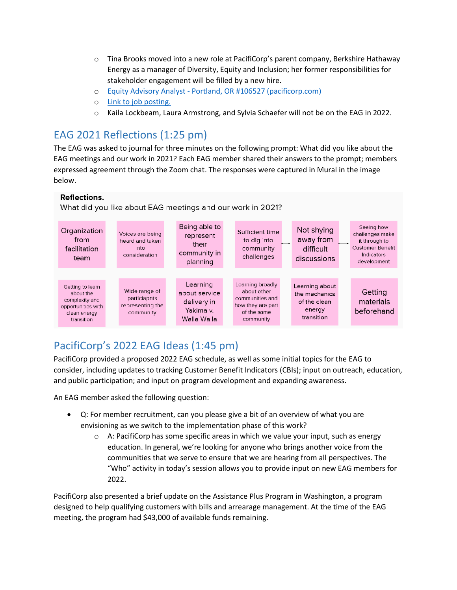- $\circ$  Tina Brooks moved into a new role at PacifiCorp's parent company, Berkshire Hathaway Energy as a manager of Diversity, Equity and Inclusion; her former responsibilities for stakeholder engagement will be filled by a new hire.
- o Equity Advisory Analyst [Portland, OR #106527 \(pacificorp.com\)](https://careers.pacificorp.com/job/PORTLAND-Equity-Advisory-Analyst-Portland%2C-OR-106527-OR-97232/837790400/)
- o Link to job posting.
- o Kaila Lockbeam, Laura Armstrong, and Sylvia Schaefer will not be on the EAG in 2022.

# EAG 2021 Reflections (1:25 pm)

The EAG was asked to journal for three minutes on the following prompt: What did you like about the EAG meetings and our work in 2021? Each EAG member shared their answers to the prompt; members expressed agreement through the Zoom chat. The responses were captured in Mural in the image below.

#### **Reflections.**

What did you like about EAG meetings and our work in 2021?



# PacifiCorp's 2022 EAG Ideas (1:45 pm)

PacifiCorp provided a proposed 2022 EAG schedule, as well as some initial topics for the EAG to consider, including updates to tracking Customer Benefit Indicators (CBIs); input on outreach, education, and public participation; and input on program development and expanding awareness.

An EAG member asked the following question:

- Q: For member recruitment, can you please give a bit of an overview of what you are envisioning as we switch to the implementation phase of this work?
	- $\circ$  A: PacifiCorp has some specific areas in which we value your input, such as energy education. In general, we're looking for anyone who brings another voice from the communities that we serve to ensure that we are hearing from all perspectives. The "Who" activity in today's session allows you to provide input on new EAG members for 2022.

PacifiCorp also presented a brief update on the Assistance Plus Program in Washington, a program designed to help qualifying customers with bills and arrearage management. At the time of the EAG meeting, the program had \$43,000 of available funds remaining.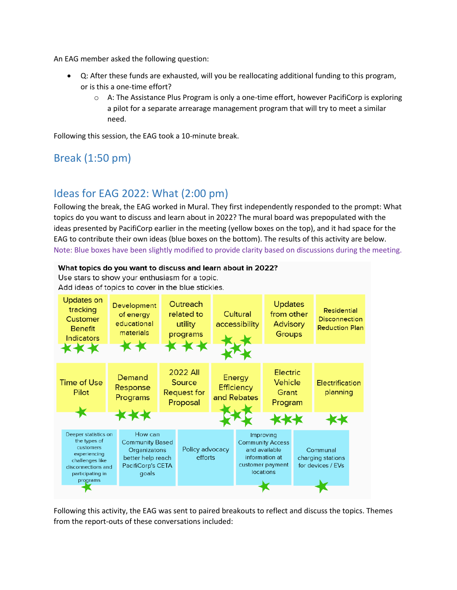An EAG member asked the following question:

- Q: After these funds are exhausted, will you be reallocating additional funding to this program, or is this a one-time effort?
	- $\circ$  A: The Assistance Plus Program is only a one-time effort, however PacifiCorp is exploring a pilot for a separate arrearage management program that will try to meet a similar need.

Following this session, the EAG took a 10-minute break.

## Break (1:50 pm)

## Ideas for EAG 2022: What (2:00 pm)

Following the break, the EAG worked in Mural. They first independently responded to the prompt: What topics do you want to discuss and learn about in 2022? The mural board was prepopulated with the ideas presented by PacifiCorp earlier in the meeting (yellow boxes on the top), and it had space for the EAG to contribute their own ideas (blue boxes on the bottom). The results of this activity are below. Note: Blue boxes have been slightly modified to provide clarity based on discussions during the meeting.



Use stars to show your enthusiasm for a topic. Add ideas of topics to cover in the blue stickies.



Following this activity, the EAG was sent to paired breakouts to reflect and discuss the topics. Themes from the report-outs of these conversations included: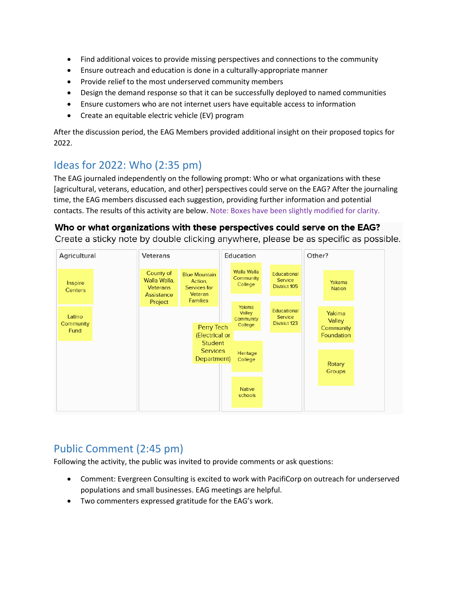- Find additional voices to provide missing perspectives and connections to the community
- Ensure outreach and education is done in a culturally-appropriate manner
- Provide relief to the most underserved community members
- Design the demand response so that it can be successfully deployed to named communities
- Ensure customers who are not internet users have equitable access to information
- Create an equitable electric vehicle (EV) program

After the discussion period, the EAG Members provided additional insight on their proposed topics for 2022.

## Ideas for 2022: Who (2:35 pm)

The EAG journaled independently on the following prompt: Who or what organizations with these [agricultural, veterans, education, and other] perspectives could serve on the EAG? After the journaling time, the EAG members discussed each suggestion, providing further information and potential contacts. The results of this activity are below. Note: Boxes have been slightly modified for clarity.

#### Who or what organizations with these perspectives could serve on the EAG?

Create a sticky note by double clicking anywhere, please be as specific as possible.



### Public Comment (2:45 pm)

Following the activity, the public was invited to provide comments or ask questions:

- Comment: Evergreen Consulting is excited to work with PacifiCorp on outreach for underserved populations and small businesses. EAG meetings are helpful.
- Two commenters expressed gratitude for the EAG's work.